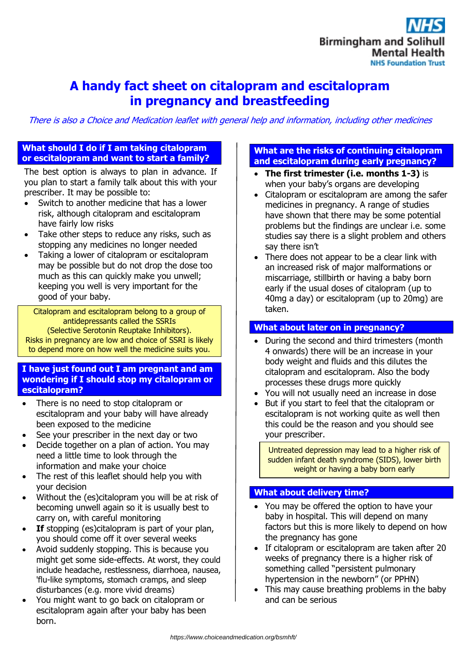

# **A handy fact sheet on citalopram and escitalopram in pregnancy and breastfeeding**

There is also a Choice and Medication leaflet with general help and information, including other medicines

#### **What should I do if I am taking citalopram or escitalopram and want to start a family?**

The best option is always to plan in advance. If you plan to start a family talk about this with your prescriber. It may be possible to:

- Switch to another medicine that has a lower risk, although citalopram and escitalopram have fairly low risks
- Take other steps to reduce any risks, such as stopping any medicines no longer needed
- Taking a lower of citalopram or escitalopram may be possible but do not drop the dose too much as this can quickly make you unwell; keeping you well is very important for the good of your baby.

Citalopram and escitalopram belong to a group of antidepressants called the SSRIs (Selective Serotonin Reuptake Inhibitors). Risks in pregnancy are low and choice of SSRI is likely to depend more on how well the medicine suits you.

#### **I have just found out I am pregnant and am wondering if I should stop my citalopram or escitalopram?**

- There is no need to stop citalopram or escitalopram and your baby will have already been exposed to the medicine
- See your prescriber in the next day or two
- Decide together on a plan of action. You may need a little time to look through the information and make your choice
- The rest of this leaflet should help you with your decision
- Without the (es)citalopram you will be at risk of becoming unwell again so it is usually best to carry on, with careful monitoring
- **If** stopping (es)citalopram is part of your plan, you should come off it over several weeks
- Avoid suddenly stopping. This is because you might get some side-effects. At worst, they could include headache, restlessness, diarrhoea, nausea, 'flu-like symptoms, stomach cramps, and sleep disturbances (e.g. more vivid dreams)
- You might want to go back on citalopram or escitalopram again after your baby has been born.

## **What are the risks of continuing citalopram and escitalopram during early pregnancy?**

- **The first trimester (i.e. months 1-3)** is when your baby's organs are developing
- Citalopram or escitalopram are among the safer medicines in pregnancy. A range of studies have shown that there may be some potential problems but the findings are unclear i.e. some studies say there is a slight problem and others say there isn't
- There does not appear to be a clear link with an increased risk of major malformations or miscarriage, stillbirth or having a baby born early if the usual doses of citalopram (up to 40mg a day) or escitalopram (up to 20mg) are taken.

## **What about later on in pregnancy?**

- During the second and third trimesters (month 4 onwards) there will be an increase in your body weight and fluids and this dilutes the citalopram and escitalopram. Also the body processes these drugs more quickly
- You will not usually need an increase in dose
- But if you start to feel that the citalopram or escitalopram is not working quite as well then this could be the reason and you should see your prescriber.

Untreated depression may lead to a higher risk of sudden infant death syndrome (SIDS), lower birth weight or having a baby born early

## **What about delivery time?**

- You may be offered the option to have your baby in hospital. This will depend on many factors but this is more likely to depend on how the pregnancy has gone
- If citalopram or escitalopram are taken after 20 weeks of pregnancy there is a higher risk of something called "persistent pulmonary hypertension in the newborn" (or PPHN)
- This may cause breathing problems in the baby and can be serious